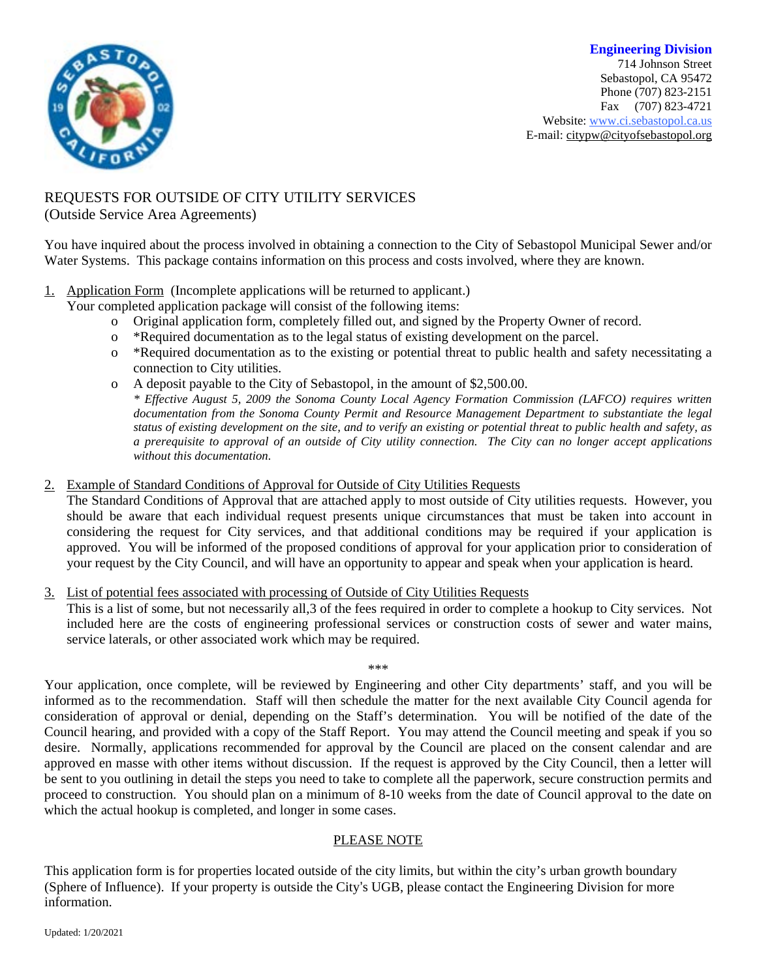

**Engineering Division** 714 Johnson Street Sebastopol, CA 95472 Phone (707) 823-2151 Fax (707) 823-4721 Website: [www.ci.sebastopol.ca.us](http://www.ci.sebastopol.ca.us/) E-mail: [citypw@cityofsebastopol.org](mailto:citypw@cityofsebastopol.org)

## REQUESTS FOR OUTSIDE OF CITY UTILITY SERVICES

(Outside Service Area Agreements)

You have inquired about the process involved in obtaining a connection to the City of Sebastopol Municipal Sewer and/or Water Systems. This package contains information on this process and costs involved, where they are known.

1. Application Form (Incomplete applications will be returned to applicant.)

Your completed application package will consist of the following items:

- o Original application form, completely filled out, and signed by the Property Owner of record.
- o \*Required documentation as to the legal status of existing development on the parcel.
- o \*Required documentation as to the existing or potential threat to public health and safety necessitating a connection to City utilities.
- o A deposit payable to the City of Sebastopol, in the amount of \$2,500.00.

*\* Effective August 5, 2009 the Sonoma County Local Agency Formation Commission (LAFCO) requires written documentation from the Sonoma County Permit and Resource Management Department to substantiate the legal* status of existing development on the site, and to verify an existing or potential threat to public health and safety, as a prerequisite to approval of an outside of City utility connection. The City can no longer accept applications *without this documentation.*

2. Example of Standard Conditions of Approval for Outside of City Utilities Requests

The Standard Conditions of Approval that are attached apply to most outside of City utilities requests. However, you should be aware that each individual request presents unique circumstances that must be taken into account in considering the request for City services, and that additional conditions may be required if your application is approved. You will be informed of the proposed conditions of approval for your application prior to consideration of your request by the City Council, and will have an opportunity to appear and speak when your application is heard.

3. List of potential fees associated with processing of Outside of City Utilities Requests

This is a list of some, but not necessarily all,3 of the fees required in order to complete a hookup to City services. Not included here are the costs of engineering professional services or construction costs of sewer and water mains, service laterals, or other associated work which may be required.

\*\*\*

Your application, once complete, will be reviewed by Engineering and other City departments' staff, and you will be informed as to the recommendation. Staff will then schedule the matter for the next available City Council agenda for consideration of approval or denial, depending on the Staff's determination. You will be notified of the date of the Council hearing, and provided with a copy of the Staff Report. You may attend the Council meeting and speak if you so desire. Normally, applications recommended for approval by the Council are placed on the consent calendar and are approved en masse with other items without discussion. If the request is approved by the City Council, then a letter will be sent to you outlining in detail the steps you need to take to complete all the paperwork, secure construction permits and proceed to construction. You should plan on a minimum of 8-10 weeks from the date of Council approval to the date on which the actual hookup is completed, and longer in some cases.

## PLEASE NOTE

This application form is for properties located outside of the city limits, but within the city's urban growth boundary (Sphere of Influence). If your property is outside the City's UGB, please contact the Engineering Division for more information.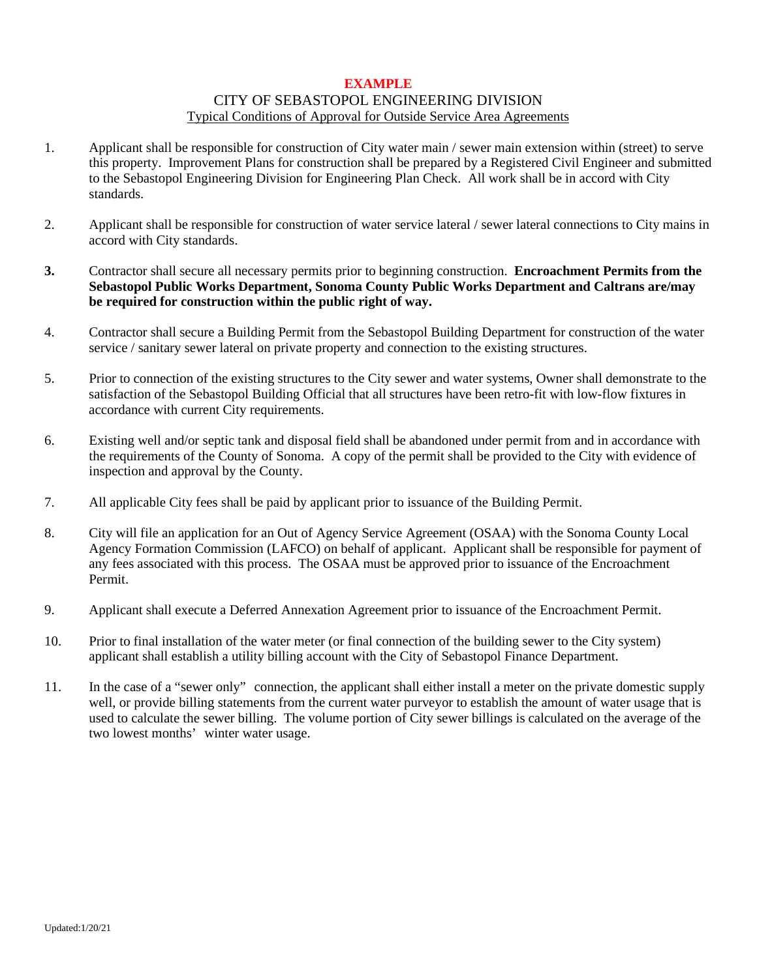### **EXAMPLE** CITY OF SEBASTOPOL ENGINEERING DIVISION Typical Conditions of Approval for Outside Service Area Agreements

- 1. Applicant shall be responsible for construction of City water main / sewer main extension within (street) to serve this property. Improvement Plans for construction shall be prepared by a Registered Civil Engineer and submitted to the Sebastopol Engineering Division for Engineering Plan Check. All work shall be in accord with City standards.
- 2. Applicant shall be responsible for construction of water service lateral / sewer lateral connections to City mains in accord with City standards.
- **3.** Contractor shall secure all necessary permits prior to beginning construction. **Encroachment Permits from the Sebastopol Public Works Department, Sonoma County Public Works Department and Caltrans are/may be required for construction within the public right of way.**
- 4. Contractor shall secure a Building Permit from the Sebastopol Building Department for construction of the water service / sanitary sewer lateral on private property and connection to the existing structures.
- 5. Prior to connection of the existing structures to the City sewer and water systems, Owner shall demonstrate to the satisfaction of the Sebastopol Building Official that all structures have been retro-fit with low-flow fixtures in accordance with current City requirements.
- 6. Existing well and/or septic tank and disposal field shall be abandoned under permit from and in accordance with the requirements of the County of Sonoma. A copy of the permit shall be provided to the City with evidence of inspection and approval by the County.
- 7. All applicable City fees shall be paid by applicant prior to issuance of the Building Permit.
- 8. City will file an application for an Out of Agency Service Agreement (OSAA) with the Sonoma County Local Agency Formation Commission (LAFCO) on behalf of applicant. Applicant shall be responsible for payment of any fees associated with this process. The OSAA must be approved prior to issuance of the Encroachment Permit.
- 9. Applicant shall execute a Deferred Annexation Agreement prior to issuance of the Encroachment Permit.
- 10. Prior to final installation of the water meter (or final connection of the building sewer to the City system) applicant shall establish a utility billing account with the City of Sebastopol Finance Department.
- 11. In the case of a "sewer only" connection, the applicant shall either install a meter on the private domestic supply well, or provide billing statements from the current water purveyor to establish the amount of water usage that is used to calculate the sewer billing. The volume portion of City sewer billings is calculated on the average of the two lowest months' winter water usage.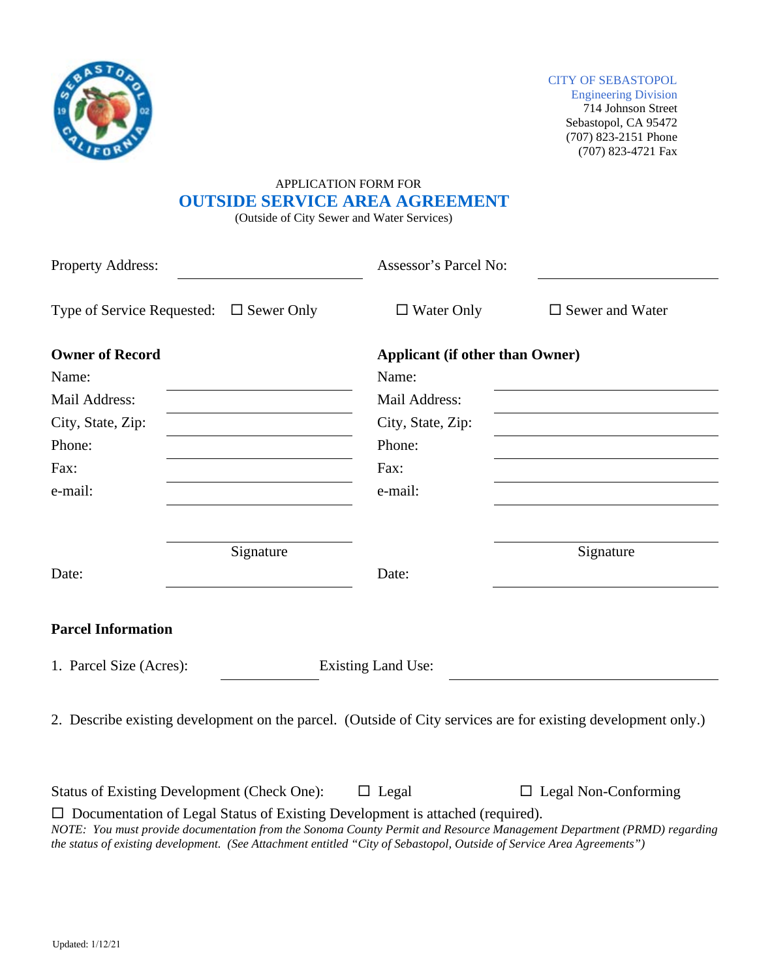

#### CITY OF SEBASTOPOL

Engineering Division 714 Johnson Street Sebastopol, CA 95472 (707) 823-2151 Phone (707) 823-4721 Fax

# APPLICATION FORM FOR  **OUTSIDE SERVICE AREA AGREEMENT**

(Outside of City Sewer and Water Services)

| Property Address:                                                                                             | Assessor's Parcel No: |                                        |  |  |
|---------------------------------------------------------------------------------------------------------------|-----------------------|----------------------------------------|--|--|
| Type of Service Requested: $\Box$ Sewer Only                                                                  | $\Box$ Water Only     | $\square$ Sewer and Water              |  |  |
| <b>Owner of Record</b>                                                                                        |                       | <b>Applicant (if other than Owner)</b> |  |  |
| Name:                                                                                                         | Name:                 |                                        |  |  |
| Mail Address:                                                                                                 | Mail Address:         |                                        |  |  |
| City, State, Zip:                                                                                             | City, State, Zip:     |                                        |  |  |
| Phone:                                                                                                        | Phone:                |                                        |  |  |
| Fax:                                                                                                          | Fax:                  |                                        |  |  |
| e-mail:                                                                                                       | e-mail:               |                                        |  |  |
|                                                                                                               |                       |                                        |  |  |
| Signature                                                                                                     |                       | Signature                              |  |  |
| Date:                                                                                                         | Date:                 |                                        |  |  |
| <b>Parcel Information</b>                                                                                     |                       |                                        |  |  |
| 1. Parcel Size (Acres):<br><b>Existing Land Use:</b>                                                          |                       |                                        |  |  |
| 2. Describe existing development on the parcel. (Outside of City services are for existing development only.) |                       |                                        |  |  |
| <b>Status of Existing Development (Check One):</b>                                                            | $\Box$ Legal          | $\Box$ Legal Non-Conforming            |  |  |

□ Documentation of Legal Status of Existing Development is attached (required). *NOTE: You must provide documentation from the Sonoma County Permit and Resource Management Department (PRMD) regarding the status of existing development. (See Attachment entitled "City of Sebastopol, Outside of Service Area Agreements")*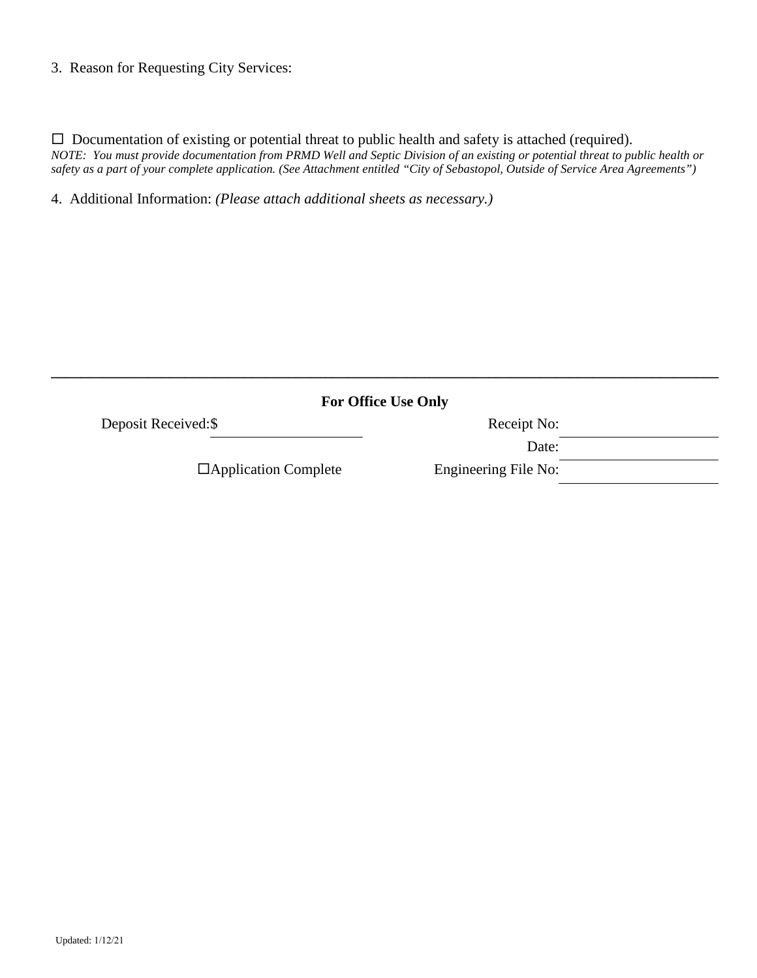## 3. Reason for Requesting City Services:

 $\Box$  Documentation of existing or potential threat to public health and safety is attached (required). NOTE: You must provide documentation from PRMD Well and Septic Division of an existing or potential threat to public health or safety as a part of your complete application. (See Attachment entitled "City of Sebastopol, Outside of Service Area Agreements")

4. Additional Information: *(Please attach additional sheets as necessary.)*

|                      | <b>For Office Use Only</b>  |  |
|----------------------|-----------------------------|--|
| Receipt No:          | Deposit Received: \$        |  |
| Date:                |                             |  |
| Engineering File No: | $\Box$ Application Complete |  |